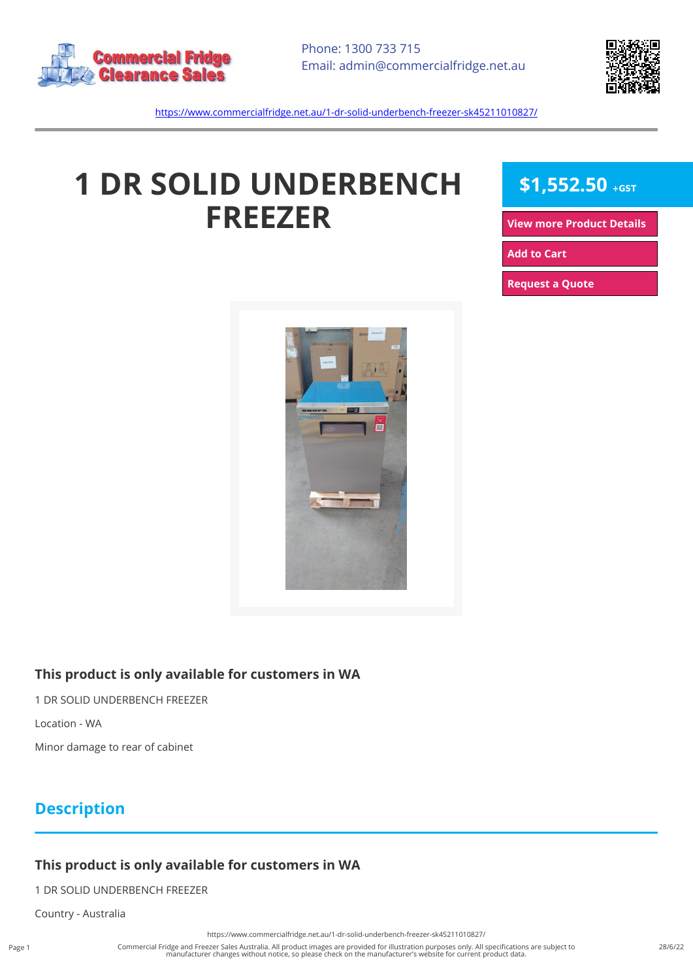



<https://www.commercialfridge.net.au/1-dr-solid-underbench-freezer-sk45211010827/>

# **1 DR SOLID UNDERBENCH FREEZER**

# $$1,552.50$  +GST

**[View more Product Details](https://www.commercialfridge.net.au/1-dr-solid-underbench-freezer-sk45211010827/)**

**[Add to Cart](https://www.commercialfridge.net.au/1-dr-solid-underbench-freezer-sk45211010827/?addtocart=1)** 

**[Request a Quote](https://www.commercialfridge.net.au/1-dr-solid-underbench-freezer-sk45211010827/?requestaquote=1)** 



#### **This product is only available for customers in WA**

1 DR SOLID UNDERBENCH FREEZER

Location - WA

Minor damage to rear of cabinet

## **Description**

### **This product is only available for customers in WA**

1 DR SOLID UNDERBENCH FREEZER

Country - Australia

<https://www.commercialfridge.net.au/1-dr-solid-underbench-freezer-sk45211010827/>

Commercial Fridge and Freezer Sales Australia. All product images are provided for illustration purposes only. All specifications are subject to<br>manufacturer changes without notice, so please check on the manufacturer's we